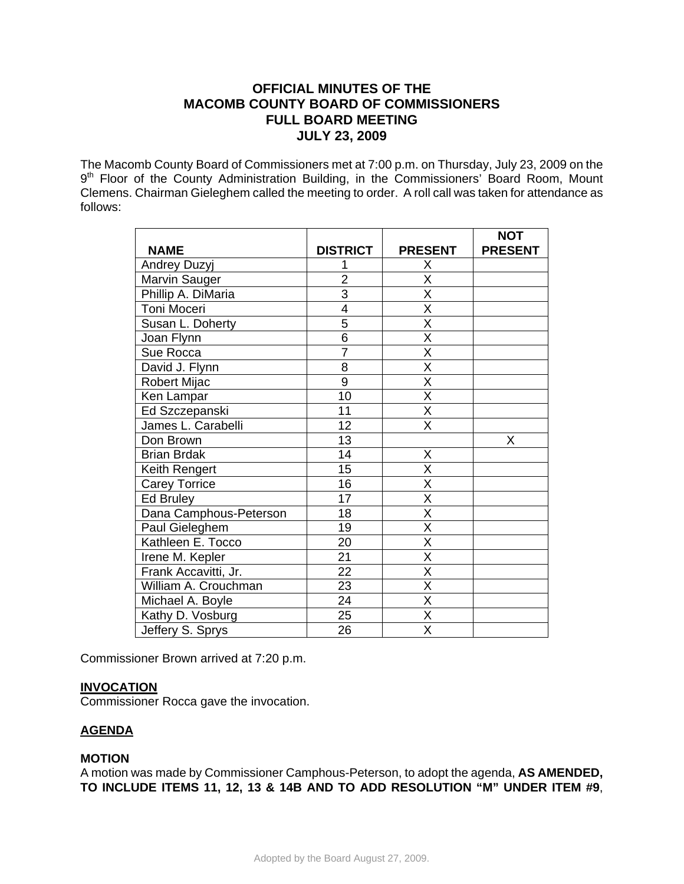# **OFFICIAL MINUTES OF THE MACOMB COUNTY BOARD OF COMMISSIONERS FULL BOARD MEETING JULY 23, 2009**

The Macomb County Board of Commissioners met at 7:00 p.m. on Thursday, July 23, 2009 on the 9<sup>th</sup> Floor of the County Administration Building, in the Commissioners' Board Room, Mount Clemens. Chairman Gieleghem called the meeting to order. A roll call was taken for attendance as follows:

|                        |                 |                         | <b>NOT</b>     |
|------------------------|-----------------|-------------------------|----------------|
| <b>NAME</b>            | <b>DISTRICT</b> | <b>PRESENT</b>          | <b>PRESENT</b> |
| Andrey Duzyj           |                 | Х                       |                |
| Marvin Sauger          | $\overline{2}$  | X                       |                |
| Phillip A. DiMaria     | $\overline{3}$  | $\overline{\mathsf{x}}$ |                |
| Toni Moceri            | 4               | $\overline{\mathsf{X}}$ |                |
| Susan L. Doherty       | 5               | $\overline{\mathsf{x}}$ |                |
| Joan Flynn             | $\overline{6}$  | $\overline{\mathsf{x}}$ |                |
| Sue Rocca              | $\overline{7}$  | $\overline{\mathsf{X}}$ |                |
| David J. Flynn         | 8               | X                       |                |
| Robert Mijac           | $\overline{9}$  | $\overline{\mathsf{x}}$ |                |
| Ken Lampar             | 10              | $\overline{\mathsf{x}}$ |                |
| Ed Szczepanski         | 11              | $\overline{\mathsf{x}}$ |                |
| James L. Carabelli     | 12              | $\overline{\mathsf{X}}$ |                |
| Don Brown              | 13              |                         | X              |
| <b>Brian Brdak</b>     | 14              | X                       |                |
| Keith Rengert          | 15              | $\overline{\mathsf{X}}$ |                |
| <b>Carey Torrice</b>   | 16              | $\overline{\mathsf{X}}$ |                |
| Ed Bruley              | 17              | $\overline{\mathsf{x}}$ |                |
| Dana Camphous-Peterson | 18              | X                       |                |
| Paul Gieleghem         | 19              | $\overline{\mathsf{x}}$ |                |
| Kathleen E. Tocco      | 20              | $\overline{\mathsf{x}}$ |                |
| Irene M. Kepler        | 21              | X                       |                |
| Frank Accavitti, Jr.   | $\overline{22}$ | $\overline{\mathsf{x}}$ |                |
| William A. Crouchman   | 23              | X                       |                |
| Michael A. Boyle       | 24              | X                       |                |
| Kathy D. Vosburg       | $\overline{25}$ | $\overline{\sf x}$      |                |
| Jeffery S. Sprys       | 26              | $\overline{\mathsf{x}}$ |                |

Commissioner Brown arrived at 7:20 p.m.

## **INVOCATION**

Commissioner Rocca gave the invocation.

## **AGENDA**

## **MOTION**

A motion was made by Commissioner Camphous-Peterson, to adopt the agenda, **AS AMENDED, TO INCLUDE ITEMS 11, 12, 13 & 14B AND TO ADD RESOLUTION "M" UNDER ITEM #9**,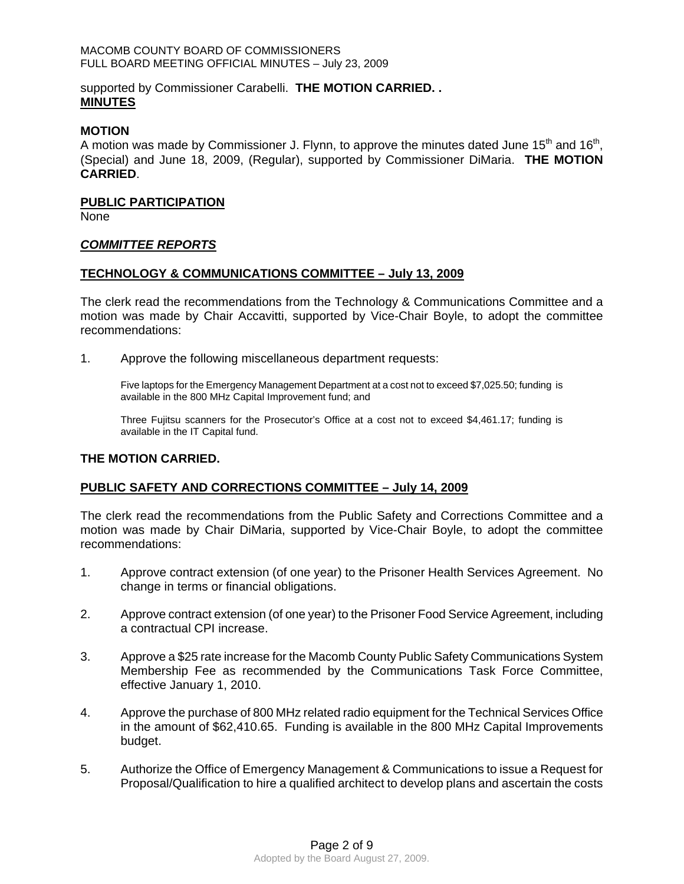### MACOMB COUNTY BOARD OF COMMISSIONERS FULL BOARD MEETING OFFICIAL MINUTES – July 23, 2009

## supported by Commissioner Carabelli. **THE MOTION CARRIED. . MINUTES**

### **MOTION**

A motion was made by Commissioner J. Flynn, to approve the minutes dated June 15<sup>th</sup> and 16<sup>th</sup>, (Special) and June 18, 2009, (Regular), supported by Commissioner DiMaria. **THE MOTION CARRIED**.

### **PUBLIC PARTICIPATION**

None

### *COMMITTEE REPORTS*

### **TECHNOLOGY & COMMUNICATIONS COMMITTEE – July 13, 2009**

The clerk read the recommendations from the Technology & Communications Committee and a motion was made by Chair Accavitti, supported by Vice-Chair Boyle, to adopt the committee recommendations:

1. Approve the following miscellaneous department requests:

Five laptops for the Emergency Management Department at a cost not to exceed \$7,025.50; funding is available in the 800 MHz Capital Improvement fund; and

Three Fujitsu scanners for the Prosecutor's Office at a cost not to exceed \$4,461.17; funding is available in the IT Capital fund.

### **THE MOTION CARRIED.**

## **PUBLIC SAFETY AND CORRECTIONS COMMITTEE – July 14, 2009**

The clerk read the recommendations from the Public Safety and Corrections Committee and a motion was made by Chair DiMaria, supported by Vice-Chair Boyle, to adopt the committee recommendations:

- 1. Approve contract extension (of one year) to the Prisoner Health Services Agreement. No change in terms or financial obligations.
- 2. Approve contract extension (of one year) to the Prisoner Food Service Agreement, including a contractual CPI increase.
- 3. Approve a \$25 rate increase for the Macomb County Public Safety Communications System Membership Fee as recommended by the Communications Task Force Committee, effective January 1, 2010.
- 4. Approve the purchase of 800 MHz related radio equipment for the Technical Services Office in the amount of \$62,410.65. Funding is available in the 800 MHz Capital Improvements budget.
- 5. Authorize the Office of Emergency Management & Communications to issue a Request for Proposal/Qualification to hire a qualified architect to develop plans and ascertain the costs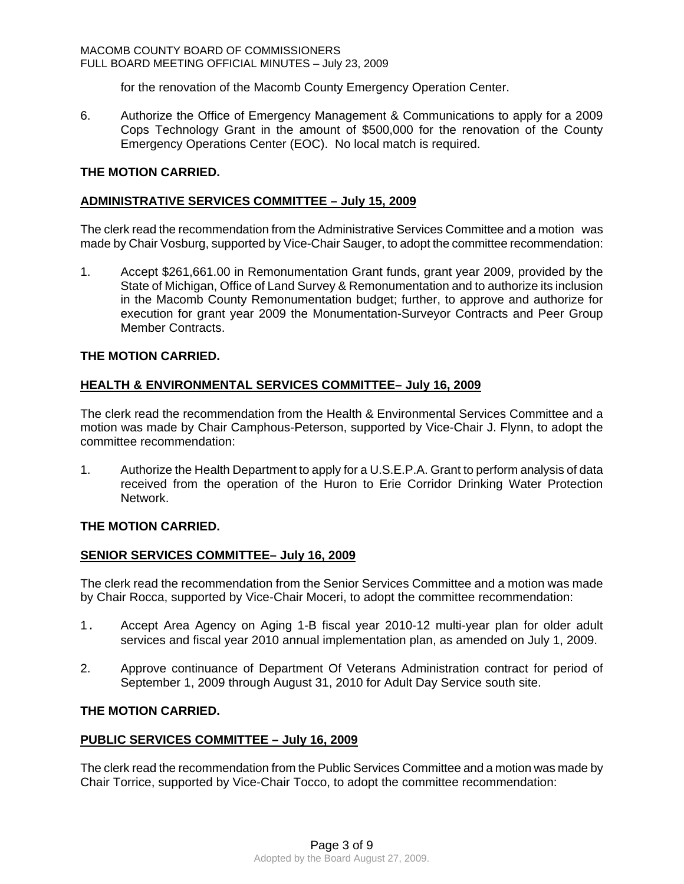for the renovation of the Macomb County Emergency Operation Center.

6. Authorize the Office of Emergency Management & Communications to apply for a 2009 Cops Technology Grant in the amount of \$500,000 for the renovation of the County Emergency Operations Center (EOC). No local match is required.

## **THE MOTION CARRIED.**

## **ADMINISTRATIVE SERVICES COMMITTEE – July 15, 2009**

The clerk read the recommendation from the Administrative Services Committee and a motion was made by Chair Vosburg, supported by Vice-Chair Sauger, to adopt the committee recommendation:

1. Accept \$261,661.00 in Remonumentation Grant funds, grant year 2009, provided by the State of Michigan, Office of Land Survey & Remonumentation and to authorize its inclusion in the Macomb County Remonumentation budget; further, to approve and authorize for execution for grant year 2009 the Monumentation-Surveyor Contracts and Peer Group Member Contracts.

## **THE MOTION CARRIED.**

## **HEALTH & ENVIRONMENTAL SERVICES COMMITTEE– July 16, 2009**

The clerk read the recommendation from the Health & Environmental Services Committee and a motion was made by Chair Camphous-Peterson, supported by Vice-Chair J. Flynn, to adopt the committee recommendation:

1. Authorize the Health Department to apply for a U.S.E.P.A. Grant to perform analysis of data received from the operation of the Huron to Erie Corridor Drinking Water Protection Network.

## **THE MOTION CARRIED.**

## **SENIOR SERVICES COMMITTEE– July 16, 2009**

The clerk read the recommendation from the Senior Services Committee and a motion was made by Chair Rocca, supported by Vice-Chair Moceri, to adopt the committee recommendation:

- 1. Accept Area Agency on Aging 1-B fiscal year 2010-12 multi-year plan for older adult services and fiscal year 2010 annual implementation plan, as amended on July 1, 2009.
- 2. Approve continuance of Department Of Veterans Administration contract for period of September 1, 2009 through August 31, 2010 for Adult Day Service south site.

## **THE MOTION CARRIED.**

## **PUBLIC SERVICES COMMITTEE – July 16, 2009**

The clerk read the recommendation from the Public Services Committee and a motion was made by Chair Torrice, supported by Vice-Chair Tocco, to adopt the committee recommendation: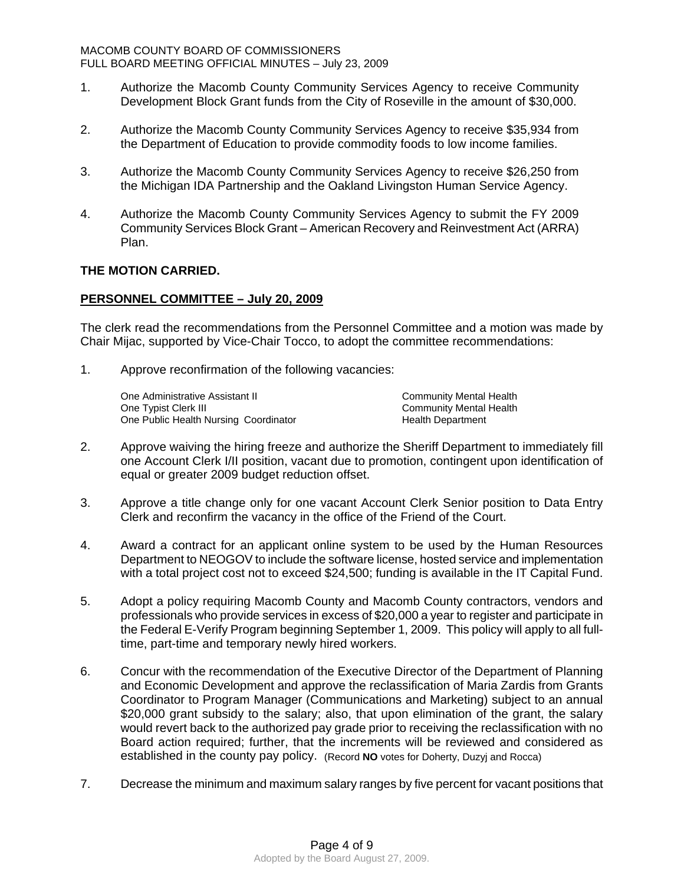- 1. Authorize the Macomb County Community Services Agency to receive Community Development Block Grant funds from the City of Roseville in the amount of \$30,000.
- 2. Authorize the Macomb County Community Services Agency to receive \$35,934 from the Department of Education to provide commodity foods to low income families.
- 3. Authorize the Macomb County Community Services Agency to receive \$26,250 from the Michigan IDA Partnership and the Oakland Livingston Human Service Agency.
- 4. Authorize the Macomb County Community Services Agency to submit the FY 2009 Community Services Block Grant – American Recovery and Reinvestment Act (ARRA) Plan.

## **THE MOTION CARRIED.**

## **PERSONNEL COMMITTEE – July 20, 2009**

The clerk read the recommendations from the Personnel Committee and a motion was made by Chair Mijac, supported by Vice-Chair Tocco, to adopt the committee recommendations:

1. Approve reconfirmation of the following vacancies:

One Administrative Assistant II Community Mental Health<br>
One Typist Clerk III Community Mental Health One Public Health Nursing Coordinator **Franch Properties Health Department** 

Community Mental Health

- 2. Approve waiving the hiring freeze and authorize the Sheriff Department to immediately fill one Account Clerk I/II position, vacant due to promotion, contingent upon identification of equal or greater 2009 budget reduction offset.
- 3. Approve a title change only for one vacant Account Clerk Senior position to Data Entry Clerk and reconfirm the vacancy in the office of the Friend of the Court.
- 4. Award a contract for an applicant online system to be used by the Human Resources Department to NEOGOV to include the software license, hosted service and implementation with a total project cost not to exceed \$24,500; funding is available in the IT Capital Fund.
- 5. Adopt a policy requiring Macomb County and Macomb County contractors, vendors and professionals who provide services in excess of \$20,000 a year to register and participate in the Federal E-Verify Program beginning September 1, 2009. This policy will apply to all fulltime, part-time and temporary newly hired workers.
- 6. Concur with the recommendation of the Executive Director of the Department of Planning and Economic Development and approve the reclassification of Maria Zardis from Grants Coordinator to Program Manager (Communications and Marketing) subject to an annual \$20,000 grant subsidy to the salary; also, that upon elimination of the grant, the salary would revert back to the authorized pay grade prior to receiving the reclassification with no Board action required; further, that the increments will be reviewed and considered as established in the county pay policy. (Record **NO** votes for Doherty, Duzyj and Rocca)
- 7. Decrease the minimum and maximum salary ranges by five percent for vacant positions that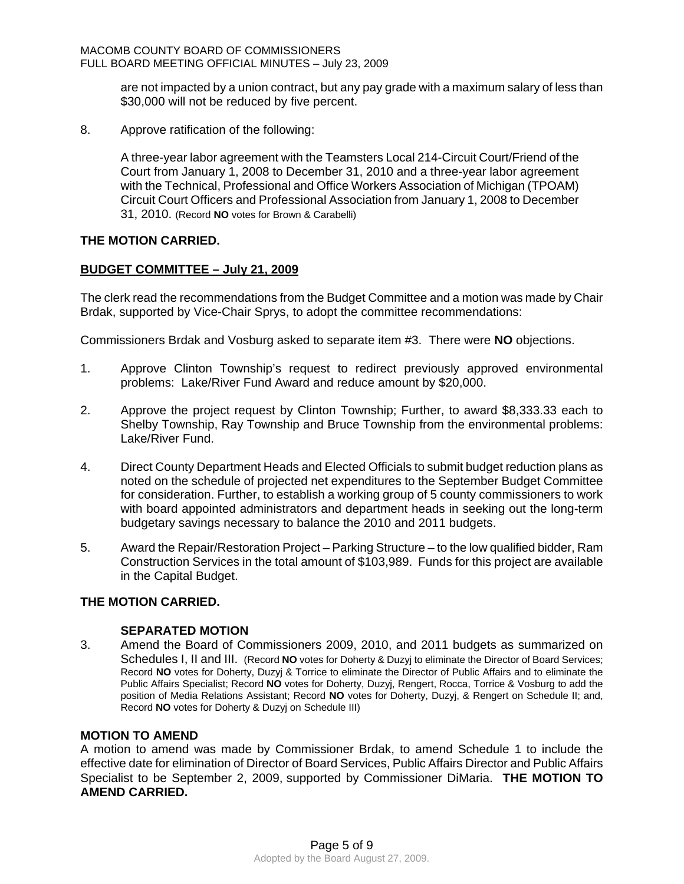are not impacted by a union contract, but any pay grade with a maximum salary of less than \$30,000 will not be reduced by five percent.

8. Approve ratification of the following:

A three-year labor agreement with the Teamsters Local 214-Circuit Court/Friend of the Court from January 1, 2008 to December 31, 2010 and a three-year labor agreement with the Technical, Professional and Office Workers Association of Michigan (TPOAM) Circuit Court Officers and Professional Association from January 1, 2008 to December 31, 2010. (Record **NO** votes for Brown & Carabelli)

### **THE MOTION CARRIED.**

## **BUDGET COMMITTEE – July 21, 2009**

The clerk read the recommendations from the Budget Committee and a motion was made by Chair Brdak, supported by Vice-Chair Sprys, to adopt the committee recommendations:

Commissioners Brdak and Vosburg asked to separate item #3. There were **NO** objections.

- 1. Approve Clinton Township's request to redirect previously approved environmental problems: Lake/River Fund Award and reduce amount by \$20,000.
- 2. Approve the project request by Clinton Township; Further, to award \$8,333.33 each to Shelby Township, Ray Township and Bruce Township from the environmental problems: Lake/River Fund.
- 4. Direct County Department Heads and Elected Officials to submit budget reduction plans as noted on the schedule of projected net expenditures to the September Budget Committee for consideration. Further, to establish a working group of 5 county commissioners to work with board appointed administrators and department heads in seeking out the long-term budgetary savings necessary to balance the 2010 and 2011 budgets.
- 5. Award the Repair/Restoration Project Parking Structure to the low qualified bidder, Ram Construction Services in the total amount of \$103,989. Funds for this project are available in the Capital Budget.

## **THE MOTION CARRIED.**

## **SEPARATED MOTION**

3. Amend the Board of Commissioners 2009, 2010, and 2011 budgets as summarized on Schedules I, II and III. (Record **NO** votes for Doherty & Duzyj to eliminate the Director of Board Services; Record **NO** votes for Doherty, Duzyj & Torrice to eliminate the Director of Public Affairs and to eliminate the Public Affairs Specialist; Record **NO** votes for Doherty, Duzyj, Rengert, Rocca, Torrice & Vosburg to add the position of Media Relations Assistant; Record **NO** votes for Doherty, Duzyj, & Rengert on Schedule II; and, Record **NO** votes for Doherty & Duzyj on Schedule III)

#### **MOTION TO AMEND**

A motion to amend was made by Commissioner Brdak, to amend Schedule 1 to include the effective date for elimination of Director of Board Services, Public Affairs Director and Public Affairs Specialist to be September 2, 2009, supported by Commissioner DiMaria. **THE MOTION TO AMEND CARRIED.**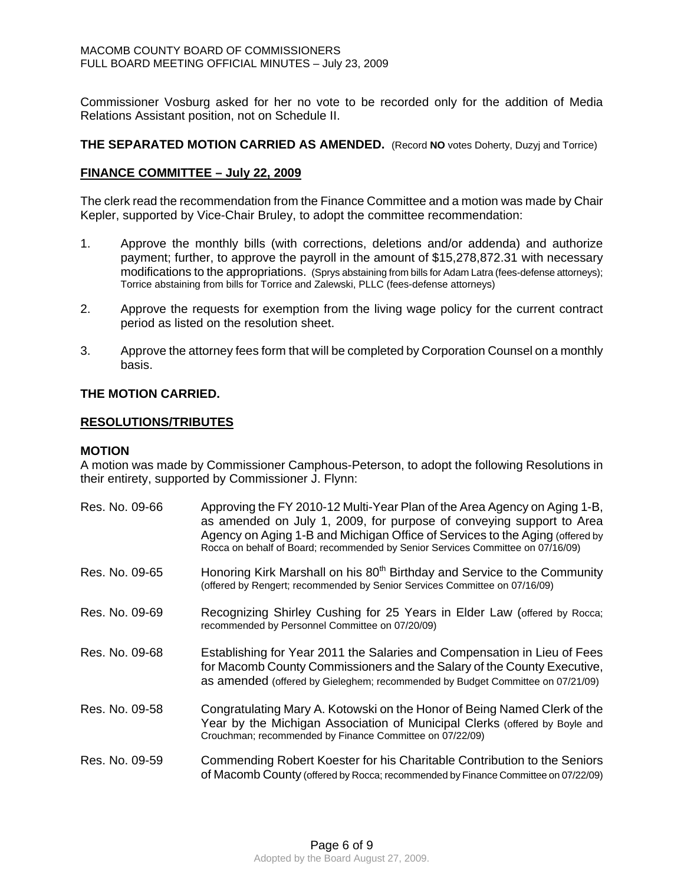Commissioner Vosburg asked for her no vote to be recorded only for the addition of Media Relations Assistant position, not on Schedule II.

**THE SEPARATED MOTION CARRIED AS AMENDED.** (Record **NO** votes Doherty, Duzyj and Torrice)

### **FINANCE COMMITTEE – July 22, 2009**

The clerk read the recommendation from the Finance Committee and a motion was made by Chair Kepler, supported by Vice-Chair Bruley, to adopt the committee recommendation:

- 1. Approve the monthly bills (with corrections, deletions and/or addenda) and authorize payment; further, to approve the payroll in the amount of \$15,278,872.31 with necessary modifications to the appropriations. (Sprys abstaining from bills for Adam Latra (fees-defense attorneys); Torrice abstaining from bills for Torrice and Zalewski, PLLC (fees-defense attorneys)
- 2. Approve the requests for exemption from the living wage policy for the current contract period as listed on the resolution sheet.
- 3. Approve the attorney fees form that will be completed by Corporation Counsel on a monthly basis.

## **THE MOTION CARRIED.**

### **RESOLUTIONS/TRIBUTES**

#### **MOTION**

A motion was made by Commissioner Camphous-Peterson, to adopt the following Resolutions in their entirety, supported by Commissioner J. Flynn:

| Res. No. 09-66 | Approving the FY 2010-12 Multi-Year Plan of the Area Agency on Aging 1-B,<br>as amended on July 1, 2009, for purpose of conveying support to Area<br>Agency on Aging 1-B and Michigan Office of Services to the Aging (offered by<br>Rocca on behalf of Board; recommended by Senior Services Committee on 07/16/09) |
|----------------|----------------------------------------------------------------------------------------------------------------------------------------------------------------------------------------------------------------------------------------------------------------------------------------------------------------------|
| Res. No. 09-65 | Honoring Kirk Marshall on his 80 <sup>th</sup> Birthday and Service to the Community<br>(offered by Rengert; recommended by Senior Services Committee on 07/16/09)                                                                                                                                                   |
| Res. No. 09-69 | Recognizing Shirley Cushing for 25 Years in Elder Law (offered by Rocca;<br>recommended by Personnel Committee on 07/20/09)                                                                                                                                                                                          |
| Res. No. 09-68 | Establishing for Year 2011 the Salaries and Compensation in Lieu of Fees<br>for Macomb County Commissioners and the Salary of the County Executive,<br>as amended (offered by Gieleghem; recommended by Budget Committee on 07/21/09)                                                                                |
| Res. No. 09-58 | Congratulating Mary A. Kotowski on the Honor of Being Named Clerk of the<br>Year by the Michigan Association of Municipal Clerks (offered by Boyle and<br>Crouchman; recommended by Finance Committee on 07/22/09)                                                                                                   |
| Res. No. 09-59 | Commending Robert Koester for his Charitable Contribution to the Seniors<br>of Macomb County (offered by Rocca; recommended by Finance Committee on 07/22/09)                                                                                                                                                        |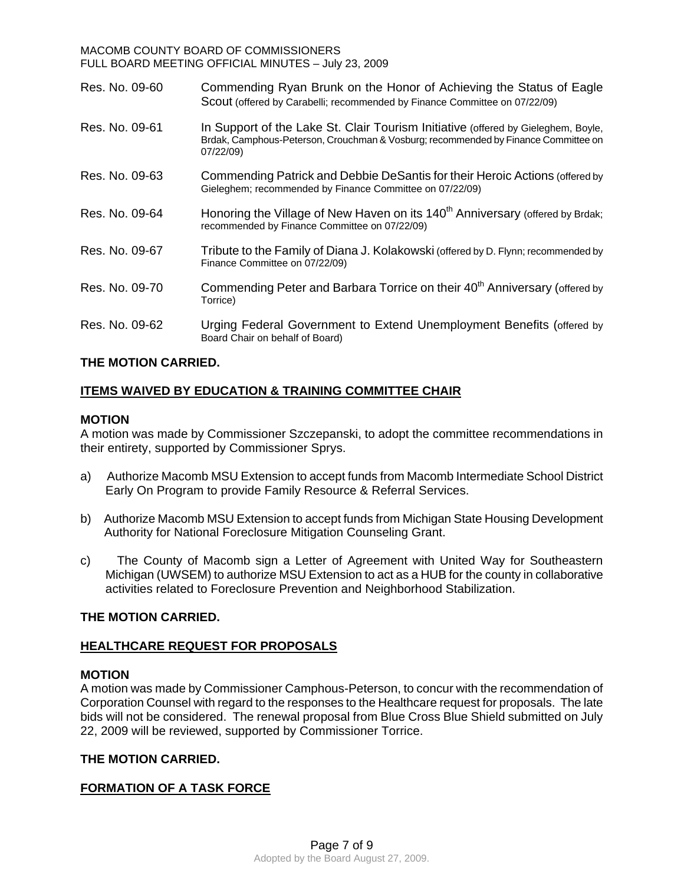#### MACOMB COUNTY BOARD OF COMMISSIONERS FULL BOARD MEETING OFFICIAL MINUTES – July 23, 2009

| Res. No. 09-60 | Commending Ryan Brunk on the Honor of Achieving the Status of Eagle<br>Scout (offered by Carabelli; recommended by Finance Committee on 07/22/09)                                    |
|----------------|--------------------------------------------------------------------------------------------------------------------------------------------------------------------------------------|
| Res. No. 09-61 | In Support of the Lake St. Clair Tourism Initiative (offered by Gieleghem, Boyle,<br>Brdak, Camphous-Peterson, Crouchman & Vosburg; recommended by Finance Committee on<br>07/22/09) |
| Res. No. 09-63 | Commending Patrick and Debbie DeSantis for their Heroic Actions (offered by<br>Gieleghem; recommended by Finance Committee on 07/22/09)                                              |
| Res. No. 09-64 | Honoring the Village of New Haven on its 140 <sup>th</sup> Anniversary (offered by Brdak;<br>recommended by Finance Committee on 07/22/09)                                           |
| Res. No. 09-67 | Tribute to the Family of Diana J. Kolakowski (offered by D. Flynn; recommended by<br>Finance Committee on 07/22/09)                                                                  |
| Res. No. 09-70 | Commending Peter and Barbara Torrice on their 40 <sup>th</sup> Anniversary (offered by<br>Torrice)                                                                                   |
| Res. No. 09-62 | Urging Federal Government to Extend Unemployment Benefits (offered by<br>Board Chair on behalf of Board)                                                                             |

## **THE MOTION CARRIED.**

## **ITEMS WAIVED BY EDUCATION & TRAINING COMMITTEE CHAIR**

## **MOTION**

A motion was made by Commissioner Szczepanski, to adopt the committee recommendations in their entirety, supported by Commissioner Sprys.

- a) Authorize Macomb MSU Extension to accept funds from Macomb Intermediate School District Early On Program to provide Family Resource & Referral Services.
- b) Authorize Macomb MSU Extension to accept funds from Michigan State Housing Development Authority for National Foreclosure Mitigation Counseling Grant.
- c) The County of Macomb sign a Letter of Agreement with United Way for Southeastern Michigan (UWSEM) to authorize MSU Extension to act as a HUB for the county in collaborative activities related to Foreclosure Prevention and Neighborhood Stabilization.

## **THE MOTION CARRIED.**

## **HEALTHCARE REQUEST FOR PROPOSALS**

## **MOTION**

A motion was made by Commissioner Camphous-Peterson, to concur with the recommendation of Corporation Counsel with regard to the responses to the Healthcare request for proposals. The late bids will not be considered. The renewal proposal from Blue Cross Blue Shield submitted on July 22, 2009 will be reviewed, supported by Commissioner Torrice.

## **THE MOTION CARRIED.**

## **FORMATION OF A TASK FORCE**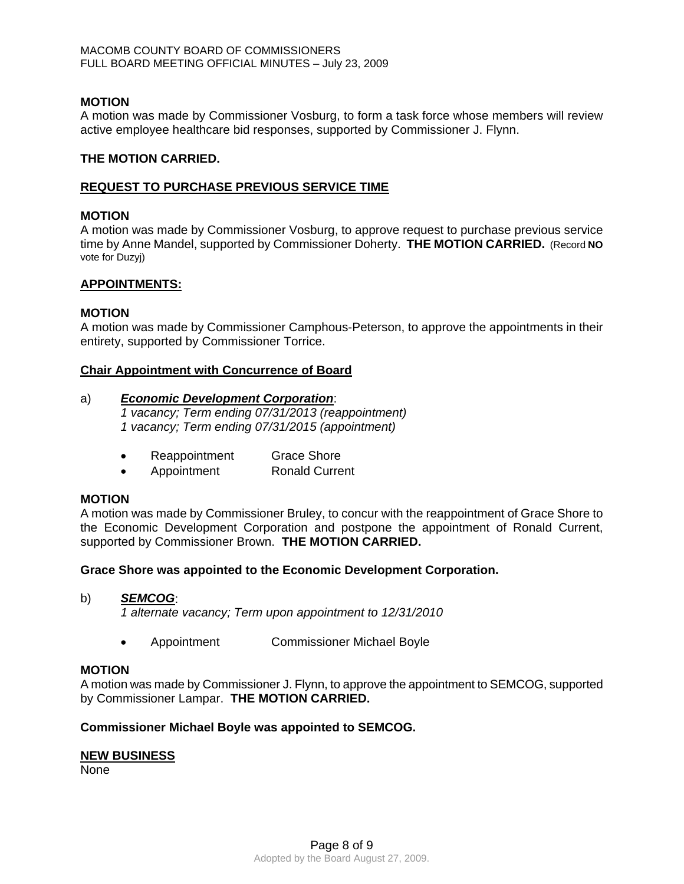### **MOTION**

A motion was made by Commissioner Vosburg, to form a task force whose members will review active employee healthcare bid responses, supported by Commissioner J. Flynn.

### **THE MOTION CARRIED.**

### **REQUEST TO PURCHASE PREVIOUS SERVICE TIME**

### **MOTION**

A motion was made by Commissioner Vosburg, to approve request to purchase previous service time by Anne Mandel, supported by Commissioner Doherty. **THE MOTION CARRIED.** (Record **NO**  vote for Duzyj)

## **APPOINTMENTS:**

### **MOTION**

A motion was made by Commissioner Camphous-Peterson, to approve the appointments in their entirety, supported by Commissioner Torrice.

### **Chair Appointment with Concurrence of Board**

### a)*Economic Development Corporation*:

*1 vacancy; Term ending 07/31/2013 (reappointment) 1 vacancy; Term ending 07/31/2015 (appointment)* 

- Reappointment Grace Shore
- Appointment Ronald Current

### **MOTION**

A motion was made by Commissioner Bruley, to concur with the reappointment of Grace Shore to the Economic Development Corporation and postpone the appointment of Ronald Current, supported by Commissioner Brown. **THE MOTION CARRIED.** 

## **Grace Shore was appointed to the Economic Development Corporation.**

#### b)*SEMCOG*:

*1 alternate vacancy; Term upon appointment to 12/31/2010* 

• Appointment Commissioner Michael Boyle

#### **MOTION**

A motion was made by Commissioner J. Flynn, to approve the appointment to SEMCOG, supported by Commissioner Lampar. **THE MOTION CARRIED.**

## **Commissioner Michael Boyle was appointed to SEMCOG.**

## **NEW BUSINESS**

None